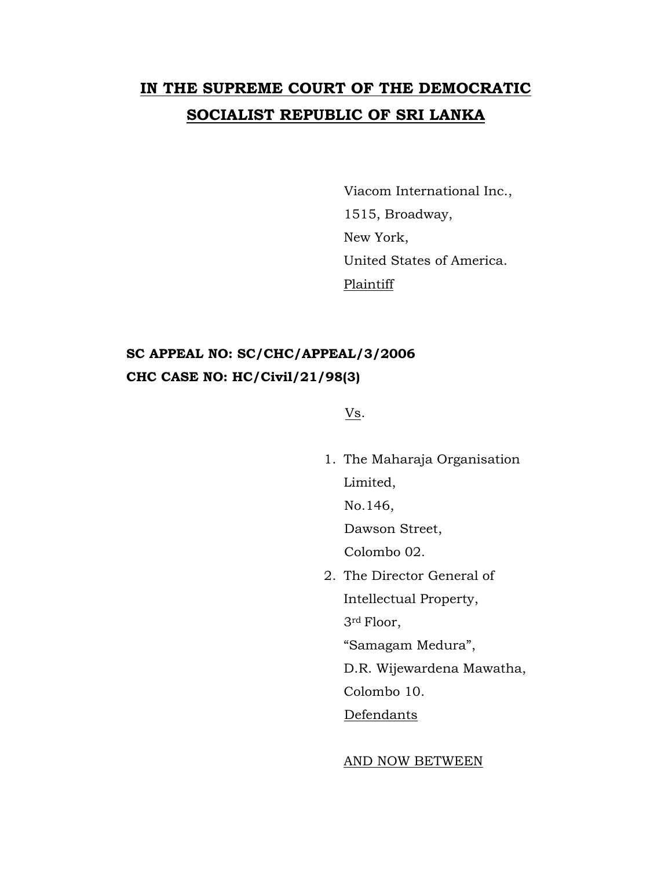## **IN THE SUPREME COURT OF THE DEMOCRATIC SOCIALIST REPUBLIC OF SRI LANKA**

Viacom International Inc., 1515, Broadway, New York, United States of America. Plaintiff

## **SC APPEAL NO: SC/CHC/APPEAL/3/2006 CHC CASE NO: HC/Civil/21/98(3)**

Vs.

1. The Maharaja Organisation Limited, No.146, Dawson Street, Colombo 02. 2. The Director General of Intellectual Property, 3rd Floor,

"Samagam Medura",

D.R. Wijewardena Mawatha,

Colombo 10.

**Defendants** 

AND NOW BETWEEN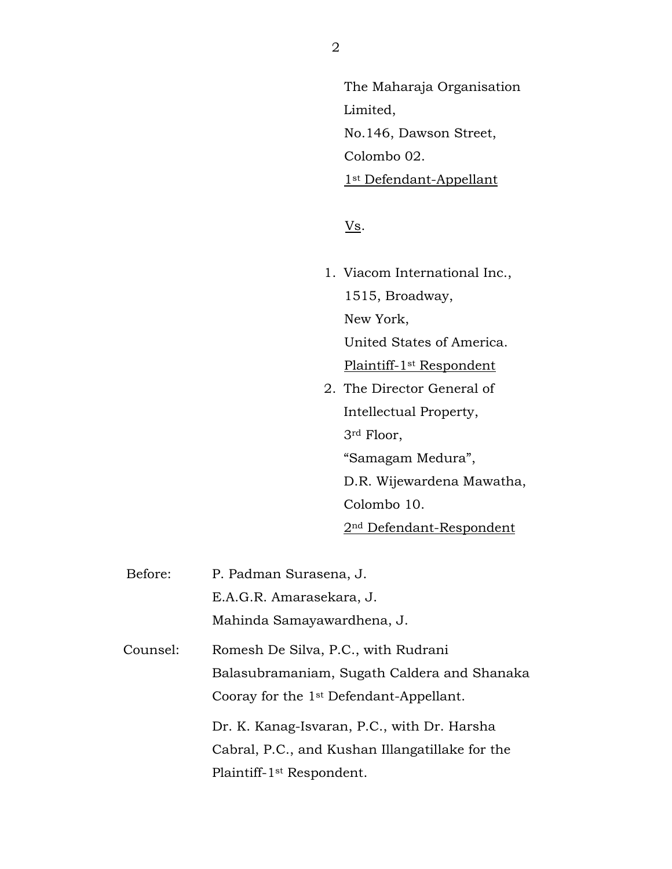The Maharaja Organisation Limited, No.146, Dawson Street, Colombo 02. 1<sup>st</sup> Defendant-Appellant

 $\underline{\text{Vs}}$ .

- 1. Viacom International Inc., 1515, Broadway, New York, United States of America. Plaintiff-1st Respondent
- 2. The Director General of Intellectual Property, 3rd Floor, "Samagam Medura", D.R. Wijewardena Mawatha,

Colombo 10.

2nd Defendant-Respondent

Before: P. Padman Surasena, J. E.A.G.R. Amarasekara, J. Mahinda Samayawardhena, J. Counsel: Romesh De Silva, P.C., with Rudrani Balasubramaniam, Sugath Caldera and Shanaka Cooray for the 1st Defendant-Appellant. Dr. K. Kanag-Isvaran, P.C., with Dr. Harsha Cabral, P.C., and Kushan Illangatillake for the Plaintiff-1st Respondent.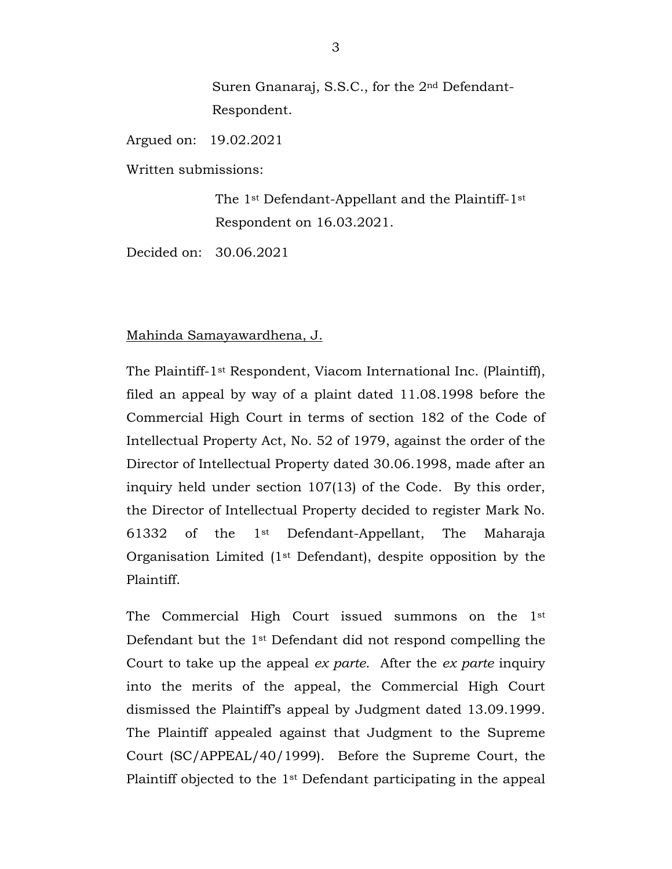Suren Gnanaraj, S.S.C., for the 2nd Defendant-Respondent.

Argued on: 19.02.2021

Written submissions:

The 1st Defendant-Appellant and the Plaintiff-1st Respondent on 16.03.2021.

Decided on: 30.06.2021

## Mahinda Samayawardhena, J.

The Plaintiff-1st Respondent, Viacom International Inc. (Plaintiff), filed an appeal by way of a plaint dated 11.08.1998 before the Commercial High Court in terms of section 182 of the Code of Intellectual Property Act, No. 52 of 1979, against the order of the Director of Intellectual Property dated 30.06.1998, made after an inquiry held under section 107(13) of the Code. By this order, the Director of Intellectual Property decided to register Mark No. 61332 of the 1st Defendant-Appellant, The Maharaja Organisation Limited (1st Defendant), despite opposition by the Plaintiff.

The Commercial High Court issued summons on the 1st Defendant but the 1st Defendant did not respond compelling the Court to take up the appeal *ex parte*. After the *ex parte* inquiry into the merits of the appeal, the Commercial High Court dismissed the Plaintiff's appeal by Judgment dated 13.09.1999. The Plaintiff appealed against that Judgment to the Supreme Court (SC/APPEAL/40/1999). Before the Supreme Court, the Plaintiff objected to the 1st Defendant participating in the appeal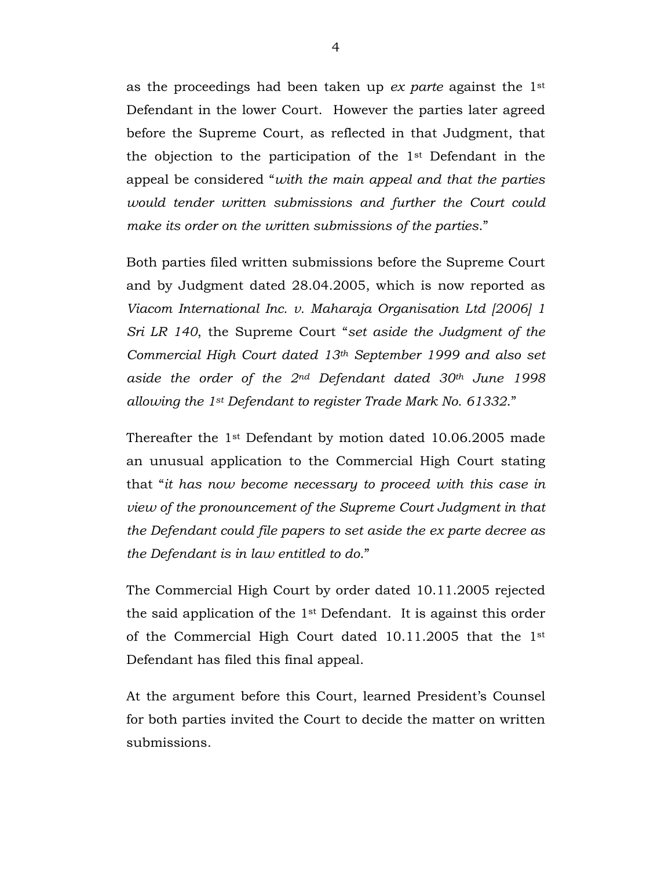as the proceedings had been taken up *ex parte* against the 1st Defendant in the lower Court. However the parties later agreed before the Supreme Court, as reflected in that Judgment, that the objection to the participation of the 1st Defendant in the appeal be considered "*with the main appeal and that the parties would tender written submissions and further the Court could make its order on the written submissions of the parties*."

Both parties filed written submissions before the Supreme Court and by Judgment dated 28.04.2005, which is now reported as *Viacom International Inc. v. Maharaja Organisation Ltd [2006] 1 Sri LR 140*, the Supreme Court "*set aside the Judgment of the Commercial High Court dated 13th September 1999 and also set aside the order of the 2nd Defendant dated 30th June 1998 allowing the 1st Defendant to register Trade Mark No. 61332*."

Thereafter the 1st Defendant by motion dated 10.06.2005 made an unusual application to the Commercial High Court stating that "*it has now become necessary to proceed with this case in view of the pronouncement of the Supreme Court Judgment in that the Defendant could file papers to set aside the ex parte decree as the Defendant is in law entitled to do*."

The Commercial High Court by order dated 10.11.2005 rejected the said application of the 1st Defendant. It is against this order of the Commercial High Court dated 10.11.2005 that the 1st Defendant has filed this final appeal.

At the argument before this Court, learned President's Counsel for both parties invited the Court to decide the matter on written submissions.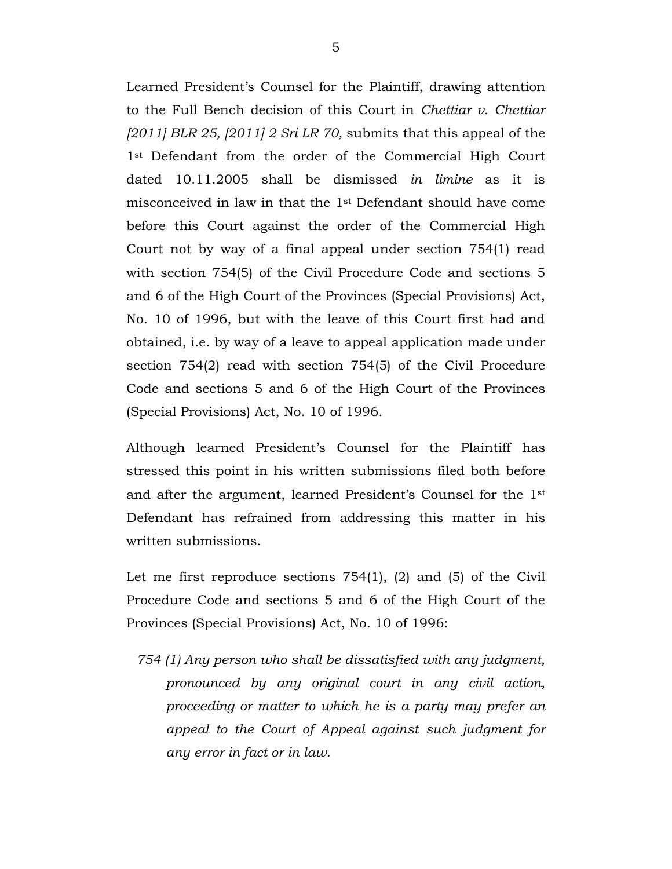Learned President's Counsel for the Plaintiff, drawing attention to the Full Bench decision of this Court in *Chettiar v. Chettiar [2011] BLR 25, [2011] 2 Sri LR 70,* submits that this appeal of the 1<sup>st</sup> Defendant from the order of the Commercial High Court dated 10.11.2005 shall be dismissed *in limine* as it is misconceived in law in that the 1st Defendant should have come before this Court against the order of the Commercial High Court not by way of a final appeal under section 754(1) read with section 754(5) of the Civil Procedure Code and sections 5 and 6 of the High Court of the Provinces (Special Provisions) Act, No. 10 of 1996, but with the leave of this Court first had and obtained, i.e. by way of a leave to appeal application made under section 754(2) read with section 754(5) of the Civil Procedure Code and sections 5 and 6 of the High Court of the Provinces (Special Provisions) Act, No. 10 of 1996.

Although learned President's Counsel for the Plaintiff has stressed this point in his written submissions filed both before and after the argument, learned President's Counsel for the 1st Defendant has refrained from addressing this matter in his written submissions.

Let me first reproduce sections 754(1), (2) and (5) of the Civil Procedure Code and sections 5 and 6 of the High Court of the Provinces (Special Provisions) Act, No. 10 of 1996:

*754 (1) Any person who shall be dissatisfied with any judgment, pronounced by any original court in any civil action, proceeding or matter to which he is a party may prefer an appeal to the Court of Appeal against such judgment for any error in fact or in law.*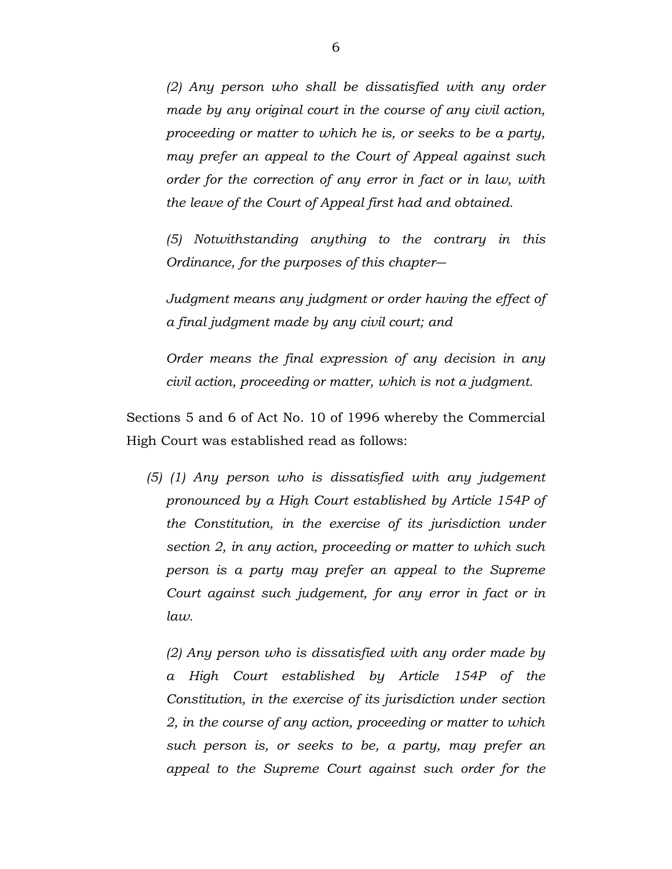*(2) Any person who shall be dissatisfied with any order made by any original court in the course of any civil action, proceeding or matter to which he is, or seeks to be a party, may prefer an appeal to the Court of Appeal against such order for the correction of any error in fact or in law, with the leave of the Court of Appeal first had and obtained.*

*(5) Notwithstanding anything to the contrary in this Ordinance, for the purposes of this chapter―*

*Judgment means any judgment or order having the effect of a final judgment made by any civil court; and*

*Order means the final expression of any decision in any civil action, proceeding or matter, which is not a judgment.*

Sections 5 and 6 of Act No. 10 of 1996 whereby the Commercial High Court was established read as follows:

*(5) (1) Any person who is dissatisfied with any judgement pronounced by a High Court established by Article 154P of the Constitution, in the exercise of its jurisdiction under section 2, in any action, proceeding or matter to which such person is a party may prefer an appeal to the Supreme Court against such judgement, for any error in fact or in law.*

*(2) Any person who is dissatisfied with any order made by a High Court established by Article 154P of the Constitution, in the exercise of its jurisdiction under section 2, in the course of any action, proceeding or matter to which such person is, or seeks to be, a party, may prefer an appeal to the Supreme Court against such order for the*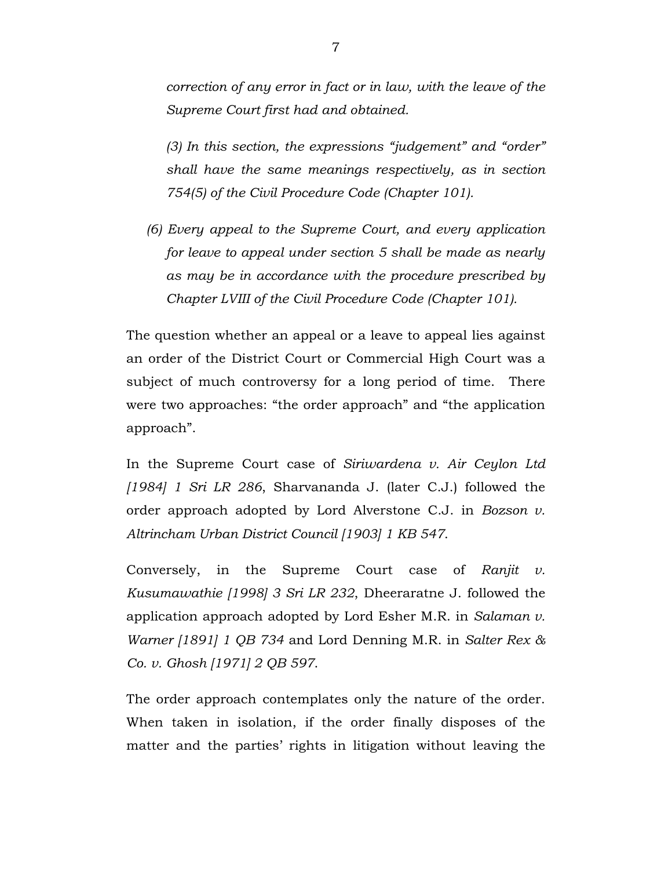*correction of any error in fact or in law, with the leave of the Supreme Court first had and obtained.*

*(3) In this section, the expressions "judgement" and "order" shall have the same meanings respectively, as in section 754(5) of the Civil Procedure Code (Chapter 101).*

*(6) Every appeal to the Supreme Court, and every application for leave to appeal under section 5 shall be made as nearly as may be in accordance with the procedure prescribed by Chapter LVIII of the Civil Procedure Code (Chapter 101).*

The question whether an appeal or a leave to appeal lies against an order of the District Court or Commercial High Court was a subject of much controversy for a long period of time. There were two approaches: "the order approach" and "the application approach".

In the Supreme Court case of *Siriwardena v. Air Ceylon Ltd [1984] 1 Sri LR 286*, Sharvananda J. (later C.J.) followed the order approach adopted by Lord Alverstone C.J. in *Bozson v. Altrincham Urban District Council [1903] 1 KB 547*.

Conversely, in the Supreme Court case of *Ranjit v. Kusumawathie [1998] 3 Sri LR 232*, Dheeraratne J. followed the application approach adopted by Lord Esher M.R. in *Salaman v. Warner [1891] 1 QB 734* and Lord Denning M.R. in *Salter Rex & Co. v. Ghosh [1971] 2 QB 597*.

The order approach contemplates only the nature of the order. When taken in isolation, if the order finally disposes of the matter and the parties' rights in litigation without leaving the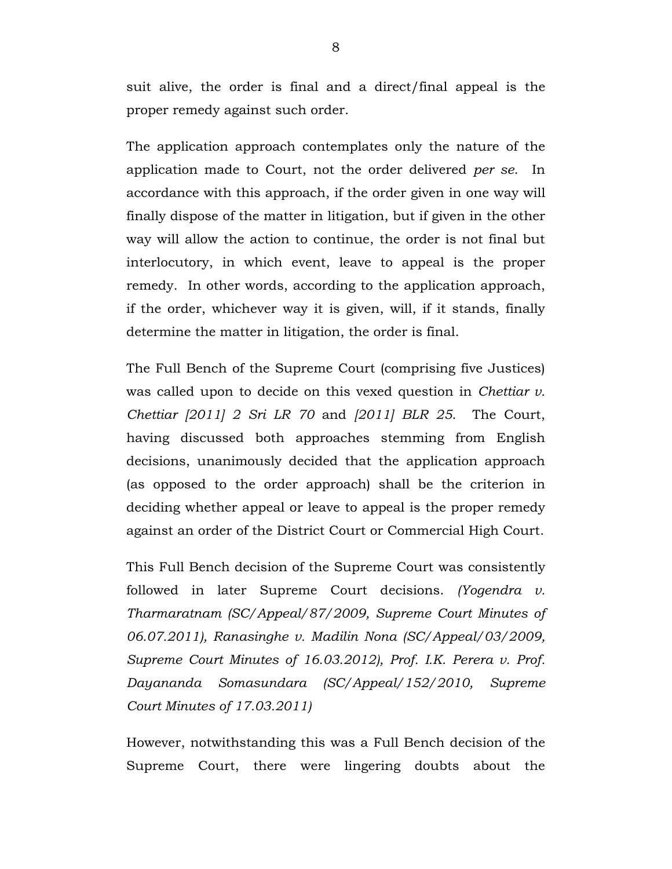suit alive, the order is final and a direct/final appeal is the proper remedy against such order.

The application approach contemplates only the nature of the application made to Court, not the order delivered *per se*. In accordance with this approach, if the order given in one way will finally dispose of the matter in litigation, but if given in the other way will allow the action to continue, the order is not final but interlocutory, in which event, leave to appeal is the proper remedy. In other words, according to the application approach, if the order, whichever way it is given, will, if it stands, finally determine the matter in litigation, the order is final.

The Full Bench of the Supreme Court (comprising five Justices) was called upon to decide on this vexed question in *Chettiar v. Chettiar [2011] 2 Sri LR 70* and *[2011] BLR 25*. The Court, having discussed both approaches stemming from English decisions, unanimously decided that the application approach (as opposed to the order approach) shall be the criterion in deciding whether appeal or leave to appeal is the proper remedy against an order of the District Court or Commercial High Court.

This Full Bench decision of the Supreme Court was consistently followed in later Supreme Court decisions. *(Yogendra v. Tharmaratnam (SC/Appeal/87/2009, Supreme Court Minutes of 06.07.2011), Ranasinghe v. Madilin Nona (SC/Appeal/03/2009, Supreme Court Minutes of 16.03.2012), Prof. I.K. Perera v. Prof. Dayananda Somasundara (SC/Appeal/152/2010, Supreme Court Minutes of 17.03.2011)*

However, notwithstanding this was a Full Bench decision of the Supreme Court, there were lingering doubts about the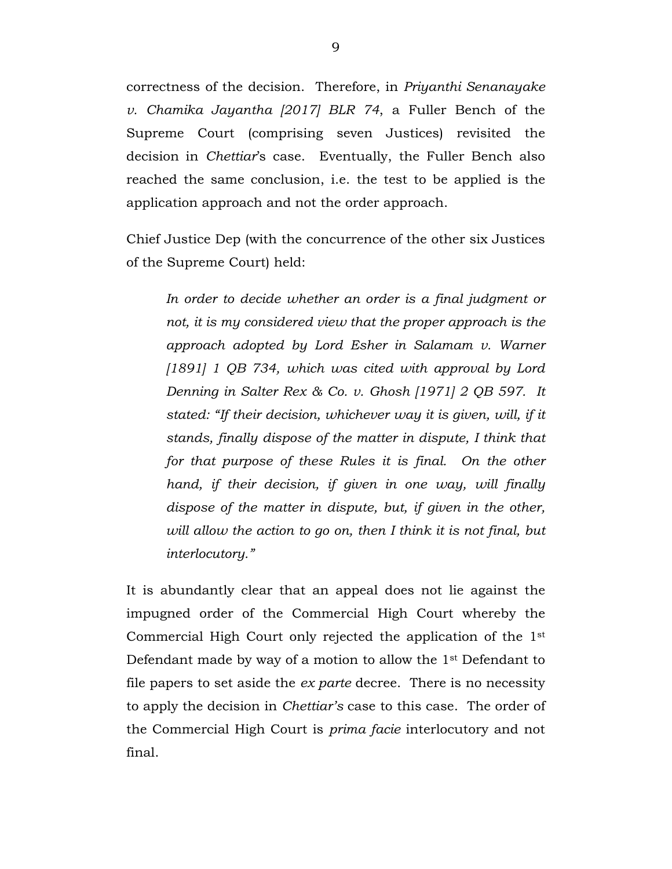correctness of the decision. Therefore, in *Priyanthi Senanayake v. Chamika Jayantha [2017] BLR 74*, a Fuller Bench of the Supreme Court (comprising seven Justices) revisited the decision in *Chettiar*'s case. Eventually, the Fuller Bench also reached the same conclusion, i.e. the test to be applied is the application approach and not the order approach.

Chief Justice Dep (with the concurrence of the other six Justices of the Supreme Court) held:

*In order to decide whether an order is a final judgment or not, it is my considered view that the proper approach is the approach adopted by Lord Esher in Salamam v. Warner [1891] 1 QB 734, which was cited with approval by Lord Denning in Salter Rex & Co. v. Ghosh [1971] 2 QB 597. It stated: "If their decision, whichever way it is given, will, if it stands, finally dispose of the matter in dispute, I think that for that purpose of these Rules it is final. On the other hand, if their decision, if given in one way, will finally dispose of the matter in dispute, but, if given in the other, will allow the action to go on, then I think it is not final, but interlocutory."*

It is abundantly clear that an appeal does not lie against the impugned order of the Commercial High Court whereby the Commercial High Court only rejected the application of the 1st Defendant made by way of a motion to allow the 1st Defendant to file papers to set aside the *ex parte* decree. There is no necessity to apply the decision in *Chettiar's* case to this case. The order of the Commercial High Court is *prima facie* interlocutory and not final.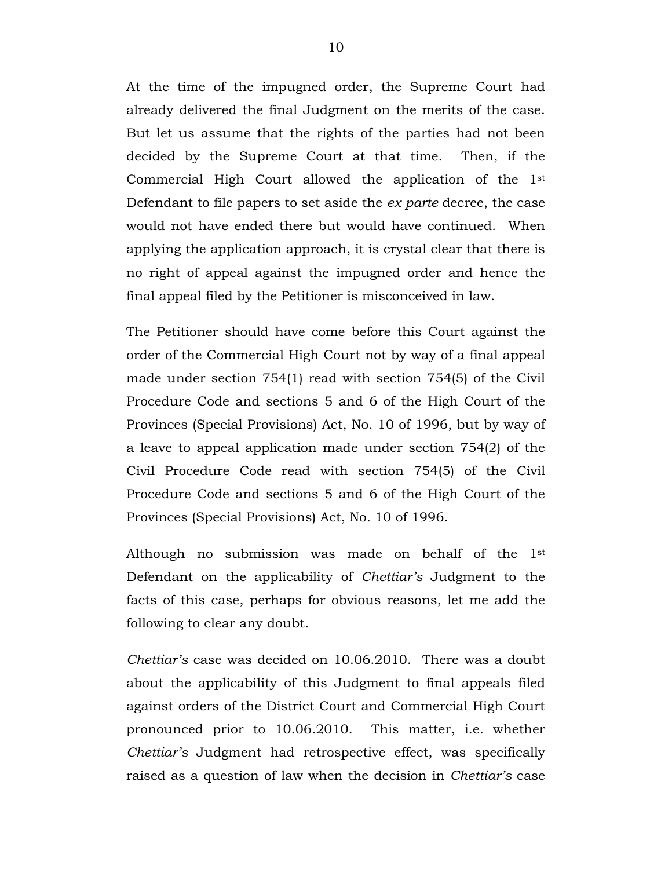At the time of the impugned order, the Supreme Court had already delivered the final Judgment on the merits of the case. But let us assume that the rights of the parties had not been decided by the Supreme Court at that time. Then, if the Commercial High Court allowed the application of the 1st Defendant to file papers to set aside the *ex parte* decree, the case would not have ended there but would have continued. When applying the application approach, it is crystal clear that there is no right of appeal against the impugned order and hence the final appeal filed by the Petitioner is misconceived in law.

The Petitioner should have come before this Court against the order of the Commercial High Court not by way of a final appeal made under section 754(1) read with section 754(5) of the Civil Procedure Code and sections 5 and 6 of the High Court of the Provinces (Special Provisions) Act, No. 10 of 1996, but by way of a leave to appeal application made under section 754(2) of the Civil Procedure Code read with section 754(5) of the Civil Procedure Code and sections 5 and 6 of the High Court of the Provinces (Special Provisions) Act, No. 10 of 1996.

Although no submission was made on behalf of the 1st Defendant on the applicability of *Chettiar's* Judgment to the facts of this case, perhaps for obvious reasons, let me add the following to clear any doubt.

*Chettiar's* case was decided on 10.06.2010. There was a doubt about the applicability of this Judgment to final appeals filed against orders of the District Court and Commercial High Court pronounced prior to 10.06.2010. This matter, i.e. whether *Chettiar's* Judgment had retrospective effect, was specifically raised as a question of law when the decision in *Chettiar's* case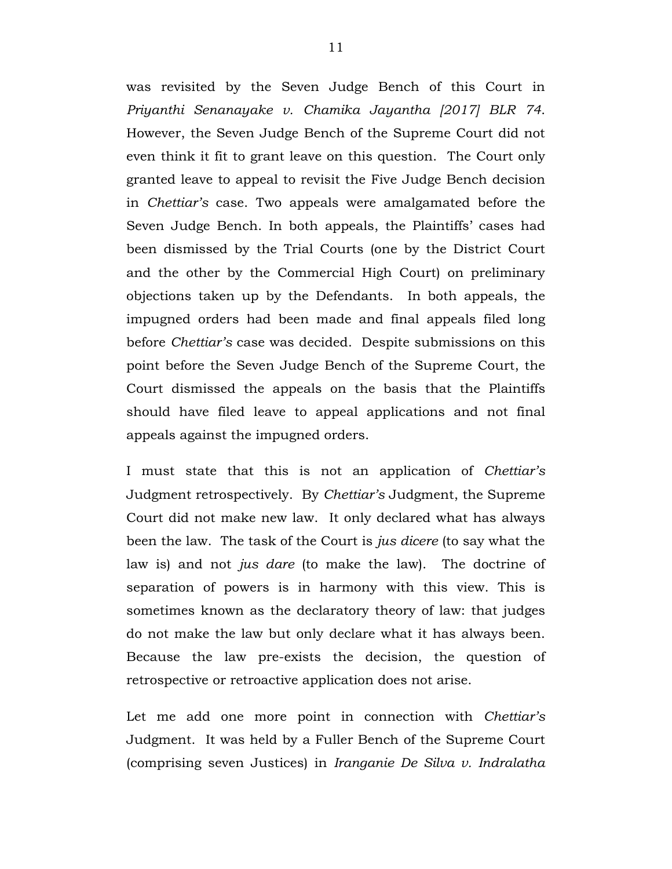was revisited by the Seven Judge Bench of this Court in *Priyanthi Senanayake v. Chamika Jayantha [2017] BLR 74*. However, the Seven Judge Bench of the Supreme Court did not even think it fit to grant leave on this question. The Court only granted leave to appeal to revisit the Five Judge Bench decision in *Chettiar's* case. Two appeals were amalgamated before the Seven Judge Bench. In both appeals, the Plaintiffs' cases had been dismissed by the Trial Courts (one by the District Court and the other by the Commercial High Court) on preliminary objections taken up by the Defendants. In both appeals, the impugned orders had been made and final appeals filed long before *Chettiar's* case was decided. Despite submissions on this point before the Seven Judge Bench of the Supreme Court, the Court dismissed the appeals on the basis that the Plaintiffs should have filed leave to appeal applications and not final appeals against the impugned orders.

I must state that this is not an application of *Chettiar's* Judgment retrospectively. By *Chettiar's* Judgment, the Supreme Court did not make new law. It only declared what has always been the law. The task of the Court is *jus dicere* (to say what the law is) and not *jus dare* (to make the law). The doctrine of separation of powers is in harmony with this view. This is sometimes known as the declaratory theory of law: that judges do not make the law but only declare what it has always been. Because the law pre-exists the decision, the question of retrospective or retroactive application does not arise.

Let me add one more point in connection with *Chettiar's* Judgment. It was held by a Fuller Bench of the Supreme Court (comprising seven Justices) in *Iranganie De Silva v. Indralatha*